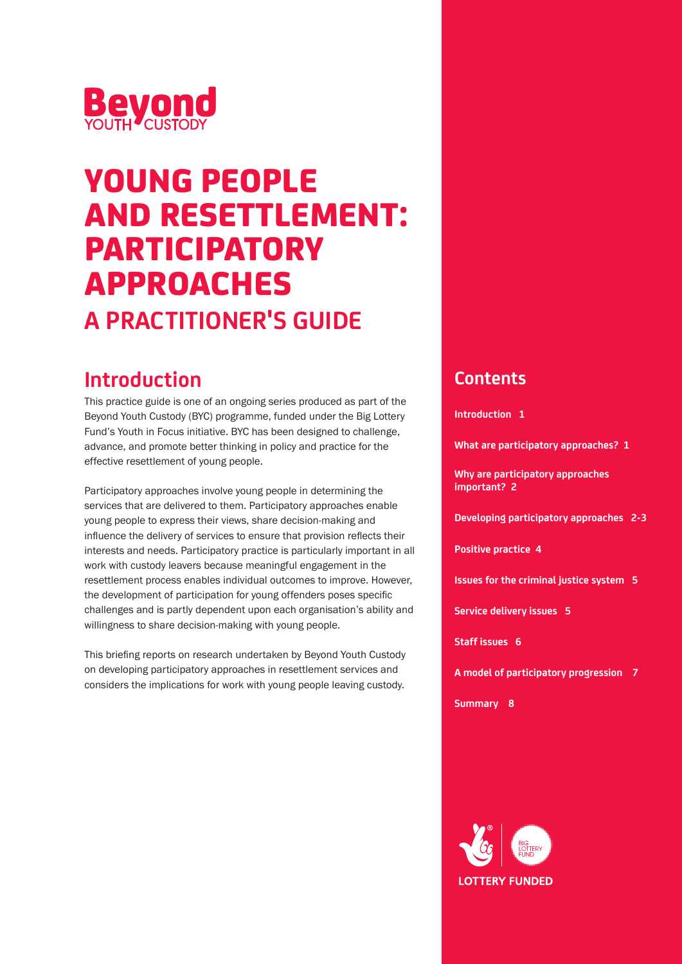

# YOUNG PEOPLE AND RESETTLEMENT: PARTICIPATORY APPROACHES **A PRACTITIONER'S GUIDE**

# **Introduction**

This practice guide is one of an ongoing series produced as part of the Beyond Youth Custody (BYC) programme, funded under the Big Lottery Fund's Youth in Focus initiative. BYC has been designed to challenge, advance, and promote better thinking in policy and practice for the effective resettlement of young people.

Participatory approaches involve young people in determining the services that are delivered to them. Participatory approaches enable young people to express their views, share decision-making and influence the delivery of services to ensure that provision reflects their interests and needs. Participatory practice is particularly important in all work with custody leavers because meaningful engagement in the resettlement process enables individual outcomes to improve. However, the development of participation for young offenders poses specific challenges and is partly dependent upon each organisation's ability and willingness to share decision-making with young people.

This briefing reports on research undertaken by Beyond Youth Custody on developing participatory approaches in resettlement services and considers the implications for work with young people leaving custody.

### **Contents**

**Introduction 1**

**What are participatory approaches? 1** 

**Why are participatory approaches important? 2** 

**Developing participatory approaches 2-3**

**Positive practice 4**

**Issues for the criminal justice system 5**

**Service delivery issues 5**

**Staff issues 6**

**A model of participatory progression 7**

**Summary 8**

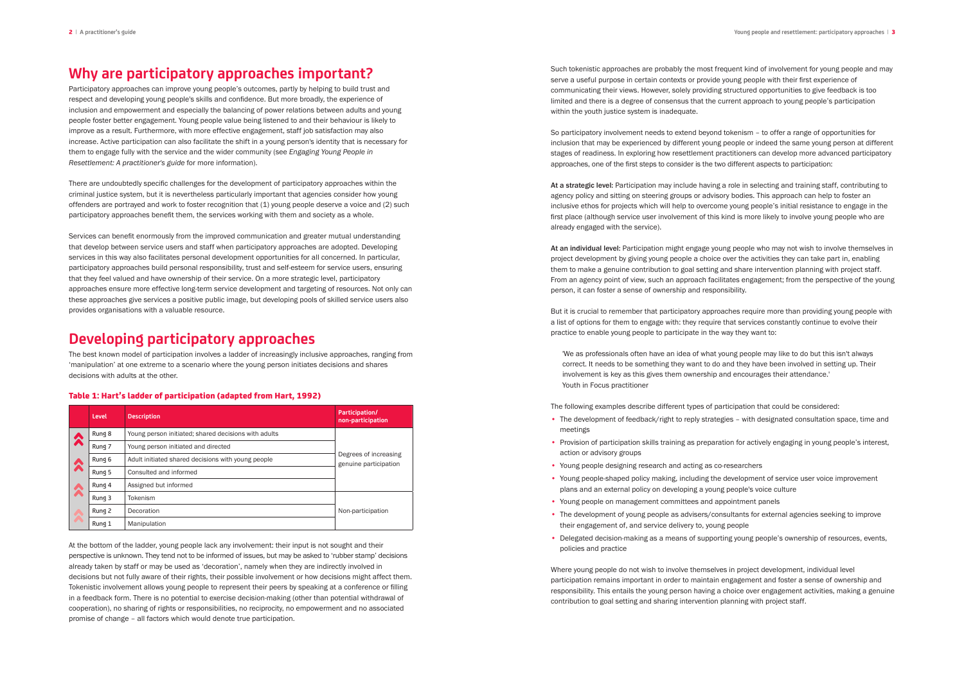## **Why are participatory approaches important?**

Participatory approaches can improve young people's outcomes, partly by helping to build trust and respect and developing young people's skills and confidence. But more broadly, the experience of inclusion and empowerment and especially the balancing of power relations between adults and young people foster better engagement. Young people value being listened to and their behaviour is likely to improve as a result. Furthermore, with more effective engagement, staff job satisfaction may also increase. Active participation can also facilitate the shift in a young person's identity that is necessary for them to engage fully with the service and the wider community (see *Engaging Young People in Resettlement: A practitioner's guide* for more information).

There are undoubtedly specific challenges for the development of participatory approaches within the criminal justice system, but it is nevertheless particularly important that agencies consider how young offenders are portrayed and work to foster recognition that (1) young people deserve a voice and (2) such participatory approaches benefit them, the services working with them and society as a whole.

Services can benefit enormously from the improved communication and greater mutual understanding that develop between service users and staff when participatory approaches are adopted. Developing services in this way also facilitates personal development opportunities for all concerned. In particular, participatory approaches build personal responsibility, trust and self-esteem for service users, ensuring that they feel valued and have ownership of their service. On a more strategic level, participatory approaches ensure more effective long-term service development and targeting of resources. Not only can these approaches give services a positive public image, but developing pools of skilled service users also provides organisations with a valuable resource.

Such tokenistic approaches are probably the most frequent kind of involvement for young people and may serve a useful purpose in certain contexts or provide young people with their first experience of communicating their views. However, solely providing structured opportunities to give feedback is too limited and there is a degree of consensus that the current approach to young people's participation within the youth justice system is inadequate.

### **Developing participatory approaches**

The best known model of participation involves a ladder of increasingly inclusive approaches, ranging from 'manipulation' at one extreme to a scenario where the young person initiates decisions and shares decisions with adults at the other.

### Table 1: Hart's ladder of participation (adapted from Hart, 1992)

At the bottom of the ladder, young people lack any involvement: their input is not sought and their perspective is unknown. They tend not to be informed of issues, but may be asked to 'rubber stamp' decisions already taken by staff or may be used as 'decoration', namely when they are indirectly involved in decisions but not fully aware of their rights, their possible involvement or how decisions might affect them. Tokenistic involvement allows young people to represent their peers by speaking at a conference or filling in a feedback form. There is no potential to exercise decision-making (other than potential withdrawal of cooperation), no sharing of rights or responsibilities, no reciprocity, no empowerment and no associated promise of change – all factors which would denote true participation.

So participatory involvement needs to extend beyond tokenism – to offer a range of opportunities for inclusion that may be experienced by different young people or indeed the same young person at different stages of readiness. In exploring how resettlement practitioners can develop more advanced participatory approaches, one of the first steps to consider is the two different aspects to participation:

At a strategic level: Participation may include having a role in selecting and training staff, contributing to agency policy and sitting on steering groups or advisory bodies. This approach can help to foster an inclusive ethos for projects which will help to overcome young people's initial resistance to engage in the first place (although service user involvement of this kind is more likely to involve young people who are already engaged with the service).

|  |   | Level  | <b>Description</b>                                   | Participation/<br>non-participation            |
|--|---|--------|------------------------------------------------------|------------------------------------------------|
|  | 公 | Rung 8 | Young person initiated; shared decisions with adults | Degrees of increasing<br>genuine participation |
|  |   | Rung 7 | Young person initiated and directed                  |                                                |
|  |   | Rung 6 | Adult initiated shared decisions with young people   |                                                |
|  |   | Rung 5 | Consulted and informed                               |                                                |
|  | 公 | Rung 4 | Assigned but informed                                |                                                |
|  |   | Rung 3 | <b>Tokenism</b>                                      |                                                |
|  |   | Rung 2 | Decoration                                           | Non-participation                              |
|  |   | Rung 1 | Manipulation                                         |                                                |

At an individual level: Participation might engage young people who may not wish to involve themselves in project development by giving young people a choice over the activities they can take part in, enabling them to make a genuine contribution to goal setting and share intervention planning with project staff. From an agency point of view, such an approach facilitates engagement; from the perspective of the young person, it can foster a sense of ownership and responsibility.

But it is crucial to remember that participatory approaches require more than providing young people with a list of options for them to engage with: they require that services constantly continue to evolve their practice to enable young people to participate in the way they want to:

'We as professionals often have an idea of what young people may like to do but this isn't always correct. It needs to be something they want to do and they have been involved in setting up. Their involvement is key as this gives them ownership and encourages their attendance.' Youth in Focus practitioner

The following examples describe different types of participation that could be considered:

• Provision of participation skills training as preparation for actively engaging in young people's interest,

- The development of feedback/right to reply strategies with designated consultation space, time and meetings
- action or advisory groups
- Young people designing research and acting as co-researchers
- Young people-shaped policy making, including the development of service user voice improvement plans and an external policy on developing a young people's voice culture
- Young people on management committees and appointment panels
- The development of young people as advisers/consultants for external agencies seeking to improve their engagement of, and service delivery to, young people
- Delegated decision-making as a means of supporting young people's ownership of resources, events, policies and practice

Where young people do not wish to involve themselves in project development, individual level participation remains important in order to maintain engagement and foster a sense of ownership and responsibility. This entails the young person having a choice over engagement activities, making a genuine contribution to goal setting and sharing intervention planning with project staff.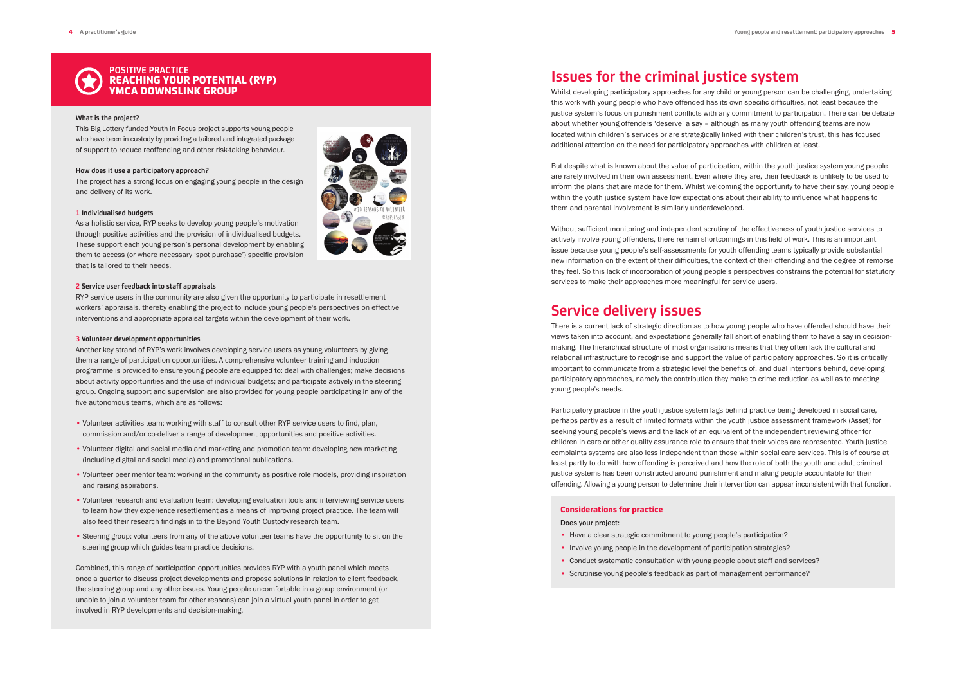# **Issues for the criminal justice system**

Whilst developing participatory approaches for any child or young person can be challenging, undertaking this work with young people who have offended has its own specific difficulties, not least because the justice system's focus on punishment conflicts with any commitment to participation. There can be debate about whether young offenders 'deserve' a say – although as many youth offending teams are now located within children's services or are strategically linked with their children's trust, this has focused additional attention on the need for participatory approaches with children at least.

But despite what is known about the value of participation, within the youth justice system young people are rarely involved in their own assessment. Even where they are, their feedback is unlikely to be used to inform the plans that are made for them. Whilst welcoming the opportunity to have their say, young people within the youth justice system have low expectations about their ability to influence what happens to them and parental involvement is similarly underdeveloped.

Without sufficient monitoring and independent scrutiny of the effectiveness of youth justice services to actively involve young offenders, there remain shortcomings in this field of work. This is an important issue because young people's self-assessments for youth offending teams typically provide substantial new information on the extent of their difficulties, the context of their offending and the degree of remorse they feel. So this lack of incorporation of young people's perspectives constrains the potential for statutory services to make their approaches more meaningful for service users.

### **Service delivery issues**

There is a current lack of strategic direction as to how young people who have offended should have their views taken into account, and expectations generally fall short of enabling them to have a say in decisionmaking. The hierarchical structure of most organisations means that they often lack the cultural and relational infrastructure to recognise and support the value of participatory approaches. So it is critically important to communicate from a strategic level the benefits of, and dual intentions behind, developing participatory approaches, namely the contribution they make to crime reduction as well as to meeting young people's needs.

Participatory practice in the youth justice system lags behind practice being developed in social care, perhaps partly as a result of limited formats within the youth justice assessment framework (Asset) for seeking young people's views and the lack of an equivalent of the independent reviewing officer for children in care or other quality assurance role to ensure that their voices are represented. Youth justice complaints systems are also less independent than those within social care services. This is of course at least partly to do with how offending is perceived and how the role of both the youth and adult criminal justice systems has been constructed around punishment and making people accountable for their offending. Allowing a young person to determine their intervention can appear inconsistent with that function.

### Considerations for practice

Does your project:

- Have a clear strategic commitment to young people's participation?
- Involve young people in the development of participation strategies?
- Conduct systematic consultation with young people about staff and services?
- Scrutinise young people's feedback as part of management performance?



### **POSITIVE PRACTICE** REACHING YOUR POTENTIAL (RYP) YMCA DOWNSLINK GROUP

#### **What is the project?**

This Big Lottery funded Youth in Focus project supports young people who have been in custody by providing a tailored and integrated package of support to reduce reoffending and other risk-taking behaviour.

#### **How does it use a participatory approach?**

The project has a strong focus on engaging young people in the design and delivery of its work.

#### **1 Individualised budgets**

As a holistic service, RYP seeks to develop young people's motivation through positive activities and the provision of individualised budgets. These support each young person's personal development by enabling them to access (or where necessary 'spot purchase') specific provision that is tailored to their needs.



RYP service users in the community are also given the opportunity to participate in resettlement workers' appraisals, thereby enabling the project to include young people's perspectives on effective interventions and appropriate appraisal targets within the development of their work.

### **3 Volunteer development opportunities**

Another key strand of RYP's work involves developing service users as young volunteers by giving them a range of participation opportunities. A comprehensive volunteer training and induction programme is provided to ensure young people are equipped to: deal with challenges; make decisions about activity opportunities and the use of individual budgets; and participate actively in the steering group. Ongoing support and supervision are also provided for young people participating in any of the five autonomous teams, which are as follows:

- Volunteer activities team: working with staff to consult other RYP service users to find, plan, commission and/or co-deliver a range of development opportunities and positive activities.
- Volunteer digital and social media and marketing and promotion team: developing new marketing (including digital and social media) and promotional publications.
- Volunteer peer mentor team: working in the community as positive role models, providing inspiration and raising aspirations.
- Volunteer research and evaluation team: developing evaluation tools and interviewing service users to learn how they experience resettlement as a means of improving project practice. The team will also feed their research findings in to the Beyond Youth Custody research team.
- Steering group: volunteers from any of the above volunteer teams have the opportunity to sit on the steering group which guides team practice decisions.

Combined, this range of participation opportunities provides RYP with a youth panel which meets once a quarter to discuss project developments and propose solutions in relation to client feedback, the steering group and any other issues. Young people uncomfortable in a group environment (or unable to join a volunteer team for other reasons) can join a virtual youth panel in order to get involved in RYP developments and decision-making.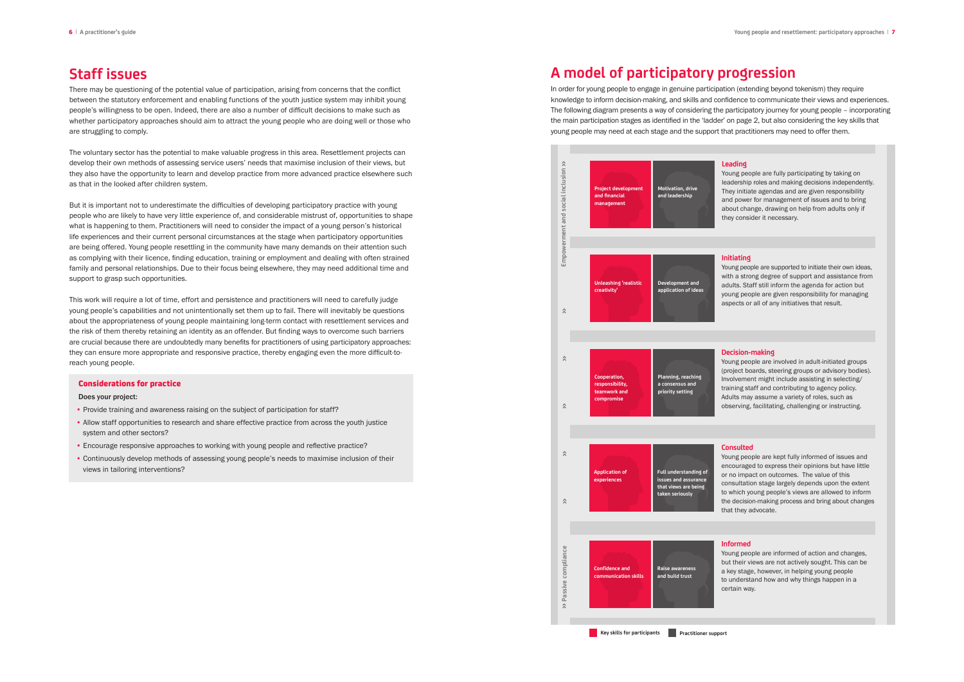# **Staff issues**

There may be questioning of the potential value of participation, arising from concerns that the conflict between the statutory enforcement and enabling functions of the youth justice system may inhibit young people's willingness to be open. Indeed, there are also a number of difficult decisions to make such as whether participatory approaches should aim to attract the young people who are doing well or those who are struggling to comply.

The voluntary sector has the potential to make valuable progress in this area. Resettlement projects can develop their own methods of assessing service users' needs that maximise inclusion of their views, but they also have the opportunity to learn and develop practice from more advanced practice elsewhere such as that in the looked after children system.

But it is important not to underestimate the difficulties of developing participatory practice with young people who are likely to have very little experience of, and considerable mistrust of, opportunities to shape what is happening to them. Practitioners will need to consider the impact of a young person's historical life experiences and their current personal circumstances at the stage when participatory opportunities are being offered. Young people resettling in the community have many demands on their attention such as complying with their licence, finding education, training or employment and dealing with often strained family and personal relationships. Due to their focus being elsewhere, they may need additional time and support to grasp such opportunities.

This work will require a lot of time, effort and persistence and practitioners will need to carefully judge young people's capabilities and not unintentionally set them up to fail. There will inevitably be questions about the appropriateness of young people maintaining long-term contact with resettlement services and the risk of them thereby retaining an identity as an offender. But finding ways to overcome such barriers are crucial because there are undoubtedly many benefits for practitioners of using participatory approaches: they can ensure more appropriate and responsive practice, thereby engaging even the more difficult-toreach young people.

### Considerations for practice

Does your project:

- Provide training and awareness raising on the subject of participation for staff?
- Allow staff opportunities to research and share effective practice from across the youth justice system and other sectors?
- Encourage responsive approaches to working with young people and reflective practice?
- Continuously develop methods of assessing young people's needs to maximise inclusion of their views in tailoring interventions?

# **A model of participatory progression**

In order for young people to engage in genuine participation (extending beyond tokenism) they require knowledge to inform decision-making, and skills and confidence to communicate their views and experiences. The following diagram presents a way of considering the participatory journey for young people – incorporating the main participation stages as identified in the 'ladder' on page 2, but also considering the key skills that young people may need at each stage and the support that practitioners may need to offer them.

### **Leading**

Young people are fully participating by taking on leadership roles and making decisions independently. They initiate agendas and are given responsibility and power for management of issues and to bring about change, drawing on help from adults only if they consider it necessary.

### **Initiating**



Young people are supported to initiate their own ideas, with a strong degree of support and assistance from adults. Staff still inform the agenda for action but young people are given responsibility for managing aspects or all of any initiatives that result.

### **Decision-making**

Young people are involved in adult-initiated groups (project boards, steering groups or advisory bodies). Involvement might include assisting in selecting/ training staff and contributing to agency policy. Adults may assume a variety of roles, such as observing, facilitating, challenging or instructing.

### **Consulted**

Young people are kept fully informed of issues and encouraged to express their opinions but have little or no impact on outcomes. The value of this consultation stage largely depends upon the extent to which young people's views are allowed to inform the decision-making process and bring about changes that they advocate.

### **Informed**

Young people are informed of action and changes, but their views are not actively sought. This can be a key stage, however, in helping young people to understand how and why things happen in a certain way.